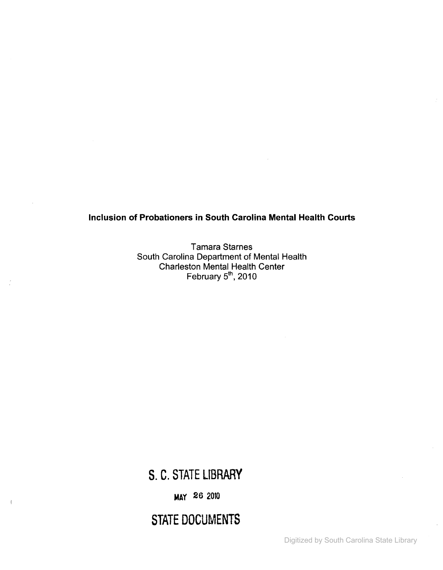## Inclusion of Probationers in South Carolina Mental Health Courts

Tamara Starnes South Carolina Department of Mental Health Charleston Mental Health Center February 5<sup>th</sup>, 2010

S. C. STATE LIBRARY

MAY 26 <sup>2010</sup>

 $\overline{1}$ 

STATE DOCUMENTS

Digitized by South Carolina State Library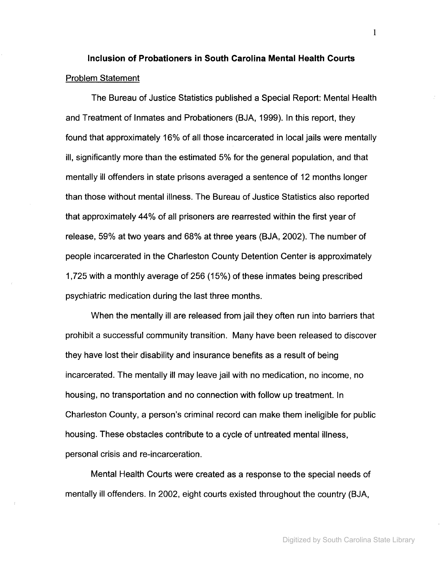# **Inclusion of Probationers in South Carolina Mental Health Courts** Problem Statement

The Bureau of Justice Statistics published a Special Report: Mental Health and Treatment of Inmates and Probationers (BJA, 1999). In this report, they found that approximately 16% of all those incarcerated in local jails were mentally ill, significantly more than the estimated 5% for the general population, and that mentally ill offenders in state prisons averaged a sentence of 12 months longer than those without mental illness. The Bureau of Justice Statistics also reported that approximately 44% of all prisoners are rearrested within the first year of release, 59% at two years and 68% at three years (BJA, 2002). The number of people incarcerated in the Charleston County Detention Center is approximately 1,725 with a monthly average of 256 (15%) of these inmates being prescribed psychiatric medication during the last three months.

When the mentally ill are released from jail they often run into barriers that prohibit a successful community transition. Many have been released to discover they have lost their disability and insurance benefits as a result of being incarcerated. The mentally ill may leave jail with no medication, no income, no housing, no transportation and no connection with follow up treatment. In Charleston County, a person's criminal record can make them ineligible for public housing. These obstacles contribute to a cycle of untreated mental illness, personal crisis and re-incarceration.

Mental Health Courts were created as a response to the special needs of mentally ill offenders. In 2002, eight courts existed throughout the country (BJA,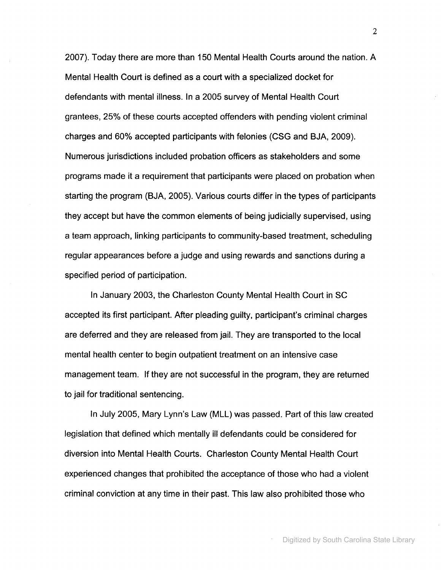2007). Today there are more than 150 Mental Health Courts around the nation. A Mental Health Court is defined as a court with a specialized docket for defendants with mental illness. In a 2005 survey of Mental Health Court grantees, 25% of these courts accepted offenders with pending violent criminal charges and 60% accepted participants with felonies (CSG and BJA, 2009). Numerous jurisdictions included probation officers as stakeholders and some programs made it a requirement that participants were placed on probation when starting the program (BJA, 2005). Various courts differ in the types of participants they accept but have the common elements of being judicially supervised, using a team approach, linking participants to community-based treatment, scheduling regular appearances before a judge and using rewards and sanctions during a specified period of participation.

In January 2003, the Charleston County Mental Health Court in SC accepted its first participant. After pleading guilty, participant's criminal charges are deferred and they are released from jail. They are transported to the local mental health center to begin outpatient treatment on an intensive case management team. If they are not successful in the program, they are returned to jail for traditional sentencing.

In July 2005, Mary Lynn's Law (MLL) was passed. Part of this law created legislation that defined which mentally ill defendants could be considered for diversion into Mental Health Courts. Charleston County Mental Health Court experienced changes that prohibited the acceptance of those who had a violent criminal conviction at any time in their past. This law also prohibited those who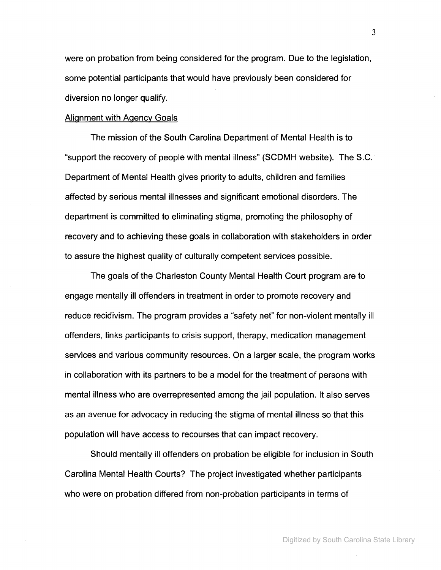were on probation from being considered for the program. Due to the legislation, some potential participants that would have previously been considered for diversion no longer qualify.

#### Alignment with Agency Goals

The mission of the South Carolina Department of Mental Health is to "support the recovery of people with mental illness" (SCDMH website). The S.C. Department of Mental Health gives priority to adults, children and families affected by serious mental illnesses and significant emotional disorders. The department is committed to eliminating stigma, promoting the philosophy of recovery and to achieving these goals in collaboration with stakeholders in order to assure the highest quality of culturally competent services possible.

The goals of the Charleston County Mental Health Court program are to engage mentally ill offenders in treatment in order to promote recovery and reduce recidivism. The program provides a "safety net" for non-violent mentally ill offenders, links participants to crisis support, therapy, medication management services and various community resources. On a larger scale, the program works in collaboration with its partners to be a model for the treatment of persons with mental illness who are overrepresented among the jail population. It also serves as an avenue for advocacy in reducing the stigma of mental illness so that this population will have access to recourses that can impact recovery.

Should mentally ill offenders on probation be eligible for inclusion in South Carolina Mental Health Courts? The project investigated whether participants who were on probation differed from non-probation participants in terms of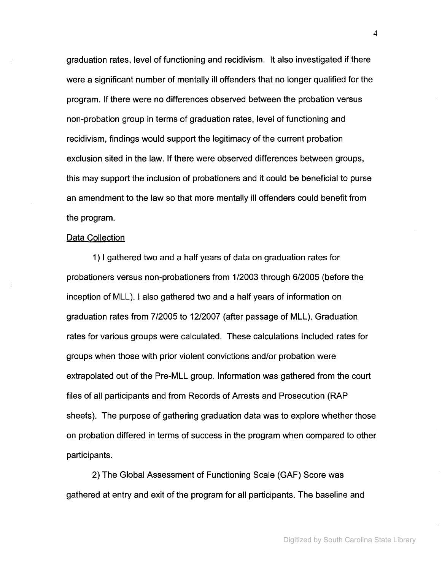graduation rates, level of functioning and recidivism. It also investigated if there were a significant number of mentally ill offenders that no longer qualified for the program. If there were no differences observed between the probation versus non-probation group in terms of graduation rates, level of functioning and recidivism, findings would support the legitimacy of the current probation exclusion sited in the law. If there were observed differences between groups, this may support the inclusion of probationers and it could be beneficial to purse an amendment to the law so that more mentally ill offenders could benefit from the program.

#### Data Collection

1) I gathered two and a half years of data on graduation rates for probationers versus non-probationers from 1/2003 through 6/2005 (before the inception of MLL). I also gathered two and a half years of information on graduation rates from 7/2005 to 12/2007 (after passage of MLL). Graduation rates for various groups were calculated. These calculations Included rates for groups when those with prior violent convictions and/or probation were extrapolated out of the Pre-MLL group. Information was gathered from the court files of all participants and from Records of Arrests and Prosecution (RAP sheets). The purpose of gathering graduation data was to explore whether those on probation differed in terms of success in the program when compared to other participants.

2) The Global Assessment of Functioning Scale (GAF) Score was gathered at entry and exit of the program for all participants. The baseline and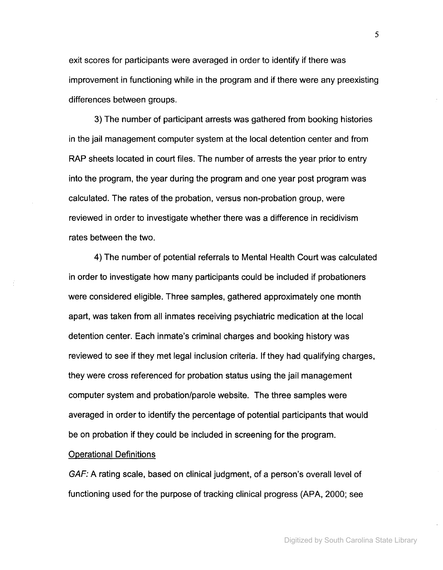exit scores for participants were averaged in order to identify if there was improvement in functioning while in the program and if there were any preexisting differences between groups.

3) The number of participant arrests was gathered from booking histories in the jail management computer system at the local detention center and from RAP sheets located in court files. The number of arrests the year prior to entry into the program, the year during the program and one year post program was calculated. The rates of the probation, versus non-probation group, were reviewed in order to investigate whether there was a difference in recidivism rates between the two.

4) The number of potential referrals to Mental Health Court was calculated in order to investigate how many participants could be included if probationers were considered eligible. Three samples, gathered approximately one month apart, was taken from all inmates receiving psychiatric medication at the local detention center. Each inmate's criminal charges and booking history was reviewed to see if they met legal inclusion criteria. If they had qualifying charges, they were cross referenced for probation status using the jail management computer system and probation/parole website. The three samples were averaged in order to identify the percentage of potential participants that would be on probation if they could be included in screening for the program.

## Operational Definitions

GAF: A rating scale, based on clinical judgment, of a person's overall level of functioning used for the purpose of tracking clinical progress (APA, 2000; see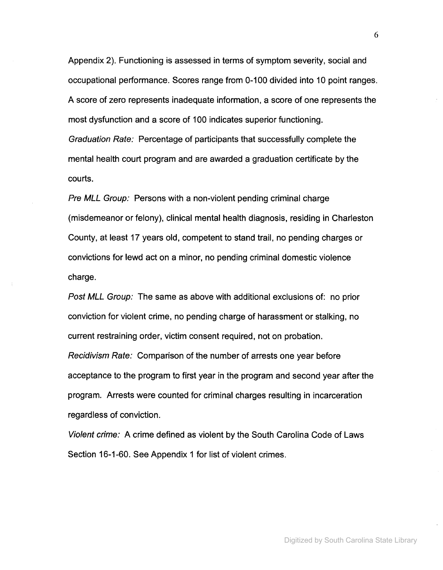Appendix 2). Functioning is assessed in terms of symptom severity, social and occupational performance. Scores range from 0-100 divided into 10 point ranges. A score of zero represents inadequate information, a score of one represents the most dysfunction and a score of 100 indicates superior functioning. Graduation Rate: Percentage of participants that successfully complete the mental health court program and are awarded a graduation certificate by the courts.

Pre MLL Group: Persons with a non-violent pending criminal charge (misdemeanor or felony), clinical mental health diagnosis, residing in Charleston County, at least 17 years old, competent to stand trail, no pending charges or convictions for lewd act on a minor, no pending criminal domestic violence charge.

Post MLL Group: The same as above with additional exclusions of: no prior conviction for violent crime, no pending charge of harassment or stalking, no current restraining order, victim consent required, not on probation. Recidivism Rate: Comparison of the number of arrests one year before acceptance to the program to first year in the program and second year after the program. Arrests were counted for criminal charges resulting in incarceration regardless of conviction.

Violent crime: A crime defined as violent by the South Carolina Code of Laws Section 16-1-60. See Appendix 1 for list of violent crimes.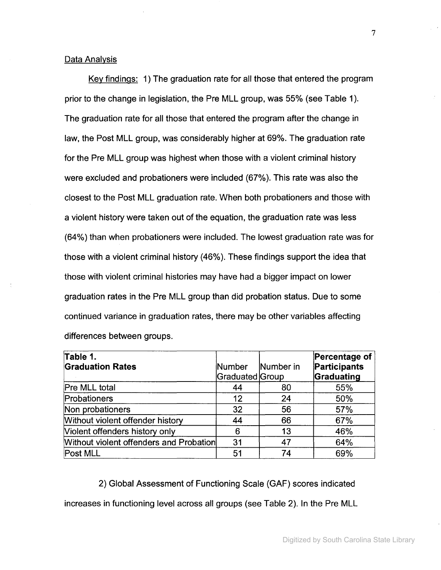#### Data Analysis

Key findings: 1) The graduation rate for all those that entered the program prior to the change in legislation, the Pre MLL group, was 55% (see Table 1). The graduation rate for all those that entered the program after the change in law, the Post MLL group, was considerably higher at 69%. The graduation rate for the Pre MLL group was highest when those with a violent criminal history were excluded and probationers were included (67%). This rate was also the closest to the Post MLL graduation rate. When both probationers and those with a violent history were taken out of the equation, the graduation rate was less (64%) than when probationers were included. The lowest graduation rate was for those with a violent criminal history (46%). These findings support the idea that those with violent criminal histories may have had a bigger impact on lower graduation rates in the Pre MLL group than did probation status. Due to some continued variance in graduation rates, there may be other variables affecting differences between groups.

| Table 1.<br><b>Graduation Rates</b>     | <b>Number</b><br>Graduated Group | Number in | Percentage of<br>Participants<br>Graduating |
|-----------------------------------------|----------------------------------|-----------|---------------------------------------------|
| Pre MLL total                           | 44                               | 80        | 55%                                         |
| Probationers                            | 12                               | 24        | 50%                                         |
| Non probationers                        | 32                               | 56        | 57%                                         |
| Without violent offender history        | 44                               | 66        | 67%                                         |
| Violent offenders history only          | 6                                | 13        | 46%                                         |
| Without violent offenders and Probation | 31                               | 47        | 64%                                         |
| Post MLL                                | 51                               | 74        | 69%                                         |

2) Global Assessment of Functioning Scale (GAF) scores indicated

increases in functioning level across all groups (see Table 2). In the Pre MLL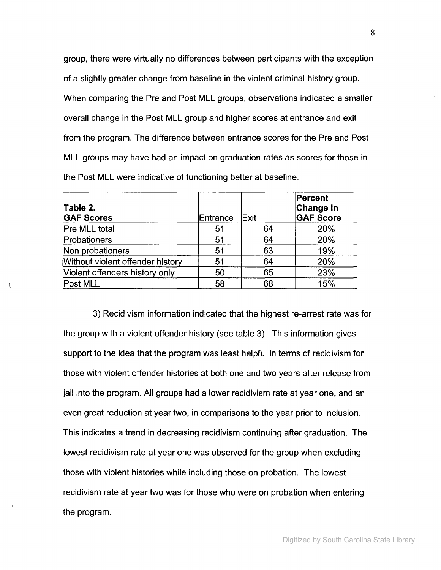group, there were virtually no differences between participants with the exception of a slightly greater change from baseline in the violent criminal history group. When comparing the Pre and Post MLL groups, observations indicated a smaller overall change in the Post MLL group and higher scores at entrance and exit from the program. The difference between entrance scores for the Pre and Post MLL groups may have had an impact on graduation rates as scores for those in the Post MLL were indicative of functioning better at baseline.

| Table 2.<br><b>GAF Scores</b>    | Entrance | Exit | Percent<br>Change in<br><b>GAF Score</b> |
|----------------------------------|----------|------|------------------------------------------|
| Pre MLL total                    | 51       | 64   | 20%                                      |
| Probationers                     | 51       | 64   | 20%                                      |
| Non probationers                 | 51       | 63   | 19%                                      |
| Without violent offender history | 51       | 64   | 20%                                      |
| Violent offenders history only   | 50       | 65   | 23%                                      |
| Post MLL                         | 58       | 68   | 15%                                      |

3) Recidivism information indicated that the highest re-arrest rate was for the group with a violent offender history (see table 3). This information gives support to the idea that the program was least helpful in terms of recidivism for those with violent offender histories at both one and two years after release from jail into the program. All groups had a lower recidivism rate at year one, and an even great reduction at year two, in comparisons to the year prior to inclusion. This indicates a trend in decreasing recidivism continuing after graduation. The lowest recidivism rate at year one was observed for the group when excluding those with violent histories while including those on probation. The lowest recidivism rate at year two was for those who were on probation when entering the program.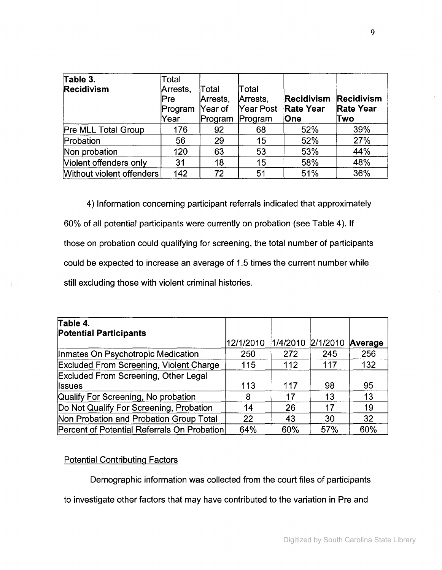| Table 3.                  | Total    |          |           |                   |                  |
|---------------------------|----------|----------|-----------|-------------------|------------------|
| <b>Recidivism</b>         | Arrests, | Total    | Total     |                   |                  |
|                           | Pre      | Arrests, | Arrests,  | <b>Recidivism</b> | Recidivism       |
|                           | Program  | Year of  | Year Post | <b>Rate Year</b>  | <b>Rate Year</b> |
|                           | Year     | Program  | Program   | <b>One</b>        | Two              |
| Pre MLL Total Group       | 176      | 92       | 68        | 52%               | 39%              |
| Probation                 | 56       | 29       | 15        | 52%               | 27%              |
| Non probation             | 120      | 63       | 53        | 53%               | 44%              |
| Violent offenders only    | 31       | 18       | 15        | 58%               | 48%              |
| Without violent offenders | 142      | 72       | 51        | 51%               | 36%              |

4) Information concerning participant referrals indicated that approximately 60% of all potential participants were currently on probation (see Table 4). If those on probation could qualifying for screening, the total number of participants could be expected to increase an average of 1.5 times the current number while still excluding those with violent criminal histories.

| Table 4.<br><b>Potential Participants</b>      |           |          |          |         |
|------------------------------------------------|-----------|----------|----------|---------|
|                                                | 12/1/2010 | 1/4/2010 | 2/1/2010 | Average |
| Inmates On Psychotropic Medication             | 250       | 272      | 245      | 256     |
| <b>Excluded From Screening, Violent Charge</b> | 115       | 112      | 117      | 132     |
| <b>Excluded From Screening, Other Legal</b>    |           |          |          |         |
| llssues                                        | 113       | 117      | 98       | 95      |
| Qualify For Screening, No probation            | 8         | 17       | 13       | 13      |
| Do Not Qualify For Screening, Probation        | 14        | 26       | 17       | 19      |
| Non Probation and Probation Group Total        | 22        | 43       | 30       | 32      |
| Percent of Potential Referrals On Probation    | 64%       | 60%      | 57%      | 60%     |

## Potential Contributing Factors

 $\langle$ 

Demographic information was collected from the court files of participants

to investigate other factors that may have contributed to the variation in Pre and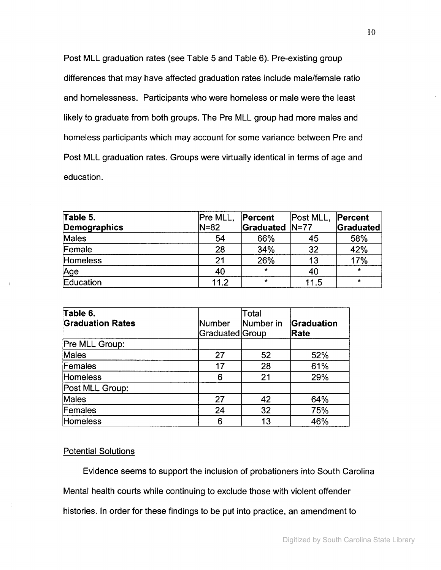Post MLL graduation rates (see Table 5 and Table 6). Pre-existing group differences that may have affected graduation rates include male/female ratio and homelessness. Participants who were homeless or male were the least likely to graduate from both groups. The Pre MLL group had more males and homeless participants which may account for some variance between Pre and Post MLL graduation rates. Groups were virtually identical in terms of age and education.

| Table 5.        | Pre MLL, | Percent               | Post MLL, | Percent   |
|-----------------|----------|-----------------------|-----------|-----------|
| Demographics    | N=82     | <b>Graduated N=77</b> |           | Graduated |
| Males           | 54       | 66%                   | 45        | 58%       |
| Female          | 28       | 34%                   | 32        | 42%       |
| <b>Homeless</b> | 21       | 26%                   | 13        | 17%       |
| <u>Age</u>      | 40       |                       | 40        | $\star$   |
| Education       | 11.2     | ÷                     | 11.5      | $\star$   |

| Table 6.<br><b>Graduation Rates</b> | Number<br>Graduated Group | Total<br>Number in | Graduation<br>Rate |
|-------------------------------------|---------------------------|--------------------|--------------------|
| Pre MLL Group:                      |                           |                    |                    |
| Males                               | 27                        | 52                 | 52%                |
| Females                             | 17                        | 28                 | 61%                |
| Homeless                            | 6                         | 21                 | 29%                |
| Post MLL Group:                     |                           |                    |                    |
| Males                               | 27                        | 42                 | 64%                |
| Females                             | 24                        | 32                 | 75%                |
| Homeless                            | 6                         | 13                 | 46%                |

#### Potential Solutions

Evidence seems to support the inclusion of probationers into South Carolina Mental health courts while continuing to exclude those with violent offender histories. In order for these findings to be put into practice, an amendment to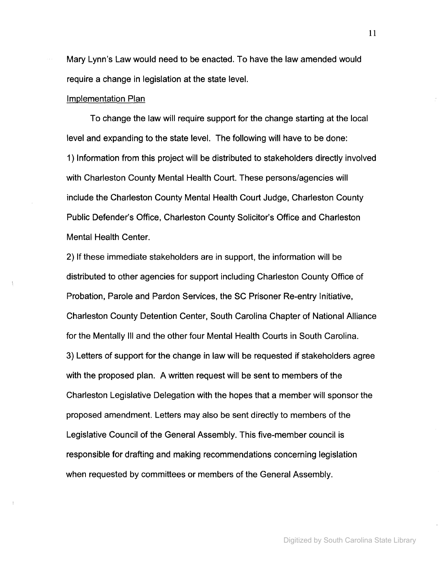Mary Lynn's Law would need to be enacted. To have the law amended would require a change in legislation at the state level.

#### Implementation Plan

To change the law will require support for the change starting at the local level and expanding to the state level. The following will have to be done: 1) Information from this project will be distributed to stakeholders directly involved with Charleston County Mental Health Court. These persons/agencies will include the Charleston County Mental Health Court Judge, Charleston County Public Defender's Office, Charleston County Solicitor's Office and Charleston Mental Health Center.

2) If these immediate stakeholders are in support, the information will be distributed to other agencies for support including Charleston County Office of Probation, Parole and Pardon Services, the SC Prisoner Re-entry Initiative, Charleston County Detention Center, South Carolina Chapter of National Alliance for the Mentally III and the other four Mental Health Courts in South Carolina. 3) Letters of support for the change in law will be requested if stakeholders agree with the proposed plan. A written request will be sent to members of the Charleston Legislative Delegation with the hopes that a member will sponsor the proposed amendment. Letters may also be sent directly to members of the Legislative Council of the General Assembly. This five-member council is responsible for drafting and making recommendations concerning legislation when requested by committees or members of the General Assembly.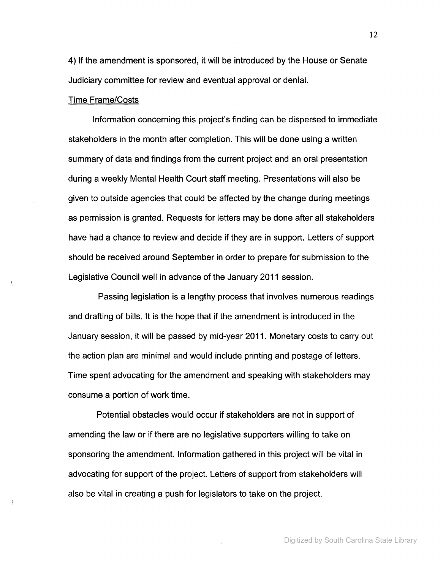4) If the amendment is sponsored, it will be introduced by the House or Senate Judiciary committee for review and eventual approval or denial.

## Time Frame/Costs

Information concerning this project's finding can be dispersed to immediate stakeholders in the month after completion. This will be done using a written summary of data and findings from the current project and an oral presentation during a weekly Mental Health Court staff meeting. Presentations will also be given to outside agencies that could be affected by the change during meetings as permission is granted. Requests for letters may be done after all stakeholders have had a chance to review and decide if they are in support. Letters of support should be received around September in order to prepare for submission to the Legislative Council well in advance of the January 2011 session.

Passing legislation is a lengthy process that involves numerous readings and drafting of bills. It is the hope that if the amendment is introduced in the January session, it will be passed by mid-year 2011. Monetary costs to carry out the action plan are minimal and would include printing and postage of letters. Time spent advocating for the amendment and speaking with stakeholders may consume a portion of work time.

Potential obstacles would occur if stakeholders are not in support of amending the law or if there are no legislative supporters willing to take on sponsoring the amendment. Information gathered in this project will be vital in advocating for support of the project. Letters of support from stakeholders will also be vital in creating a push for legislators to take on the project.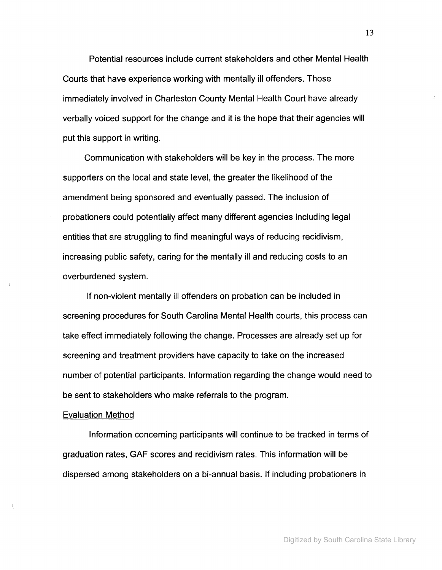Potential resources include current stakeholders and other Mental Health Courts that have experience working with mentally ill offenders. Those immediately involved in Charleston County Mental Health Court have already verbally voiced support for the change and it is the hope that their agencies will put this support in writing.

Communication with stakeholders will be key in the process. The more supporters on the local and state level, the greater the likelihood of the amendment being sponsored and eventually passed. The inclusion of probationers could potentially affect many different agencies including legal entities that are struggling to find meaningful ways of reducing recidivism, increasing public safety, caring for the mentally ill and reducing costs to an overburdened system.

If non-violent mentally ill offenders on probation can be included in screening procedures for South Carolina Mental Health courts, this process can take effect immediately following the change. Processes are already set up for screening and treatment providers have capacity to take on the increased number of potential participants. Information regarding the change would need to be sent to stakeholders who make referrals to the program.

#### Evaluation Method

Information concerning participants will continue to be tracked in terms of graduation rates, GAF scores and recidivism rates. This information will be dispersed among stakeholders on a bi-annual basis. If including probationers in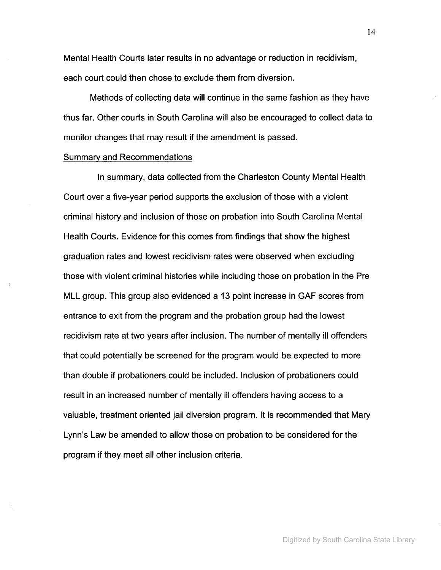Mental Health Courts later results in no advantage or reduction in recidivism, each court could then chose to exclude them from diversion.

Methods of collecting data will continue in the same fashion as they have thus far. Other courts in South Carolina will also be encouraged to collect data to monitor changes that may result if the amendment is passed.

#### Summary and Recommendations

In summary, data collected from the Charleston County Mental Health Court over a five-year period supports the exclusion of those with a violent criminal history and inclusion of those on probation into South Carolina Mental Health Courts. Evidence for this comes from findings that show the highest graduation rates and lowest recidivism rates were observed when excluding those with violent criminal histories while including those on probation in the Pre MLL group. This group also evidenced a 13 point increase in GAF scores from entrance to exit from the program and the probation group had the lowest recidivism rate at two years after inclusion. The number of mentally ill offenders that could potentially be screened for the program would be expected to more than double if probationers could be included. Inclusion of probationers could result in an increased number of mentally ill offenders having access to a valuable, treatment oriented jail diversion program. It is recommended that Mary Lynn's Law be amended to allow those on probation to be considered for the program if they meet all other inclusion criteria.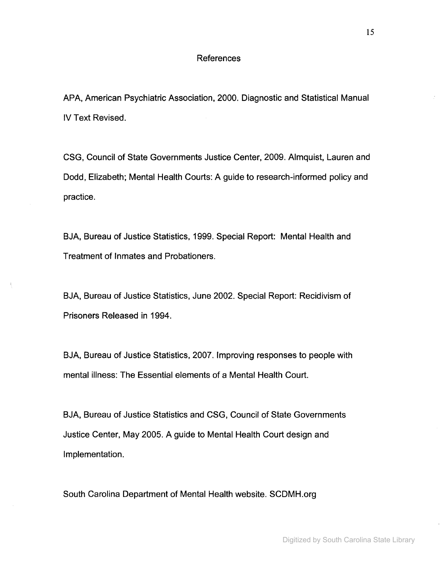## **References**

APA, American Psychiatric Association, 2000. Diagnostic and Statistical Manual IV Text Revised.

CSG, Council of State Governments Justice Center, 2009. Almquist, Lauren and Dodd, Elizabeth; Mental Health Courts: A guide to research-informed policy and practice.

BJA, Bureau of Justice Statistics, 1999. Special Report: Mental Health and Treatment of Inmates and Probationers.

BJA, Bureau of Justice Statistics, June 2002. Special Report: Recidivism of Prisoners Released in 1994.

BJA, Bureau of Justice Statistics, 2007. Improving responses to people with mental illness: The Essential elements of a Mental Health Court.

BJA, Bureau of Justice Statistics and CSG, Council of State Governments Justice Center, May 2005. A guide to Mental Health Court design and Implementation.

South Carolina Department of Mental Health website. SCDMH.org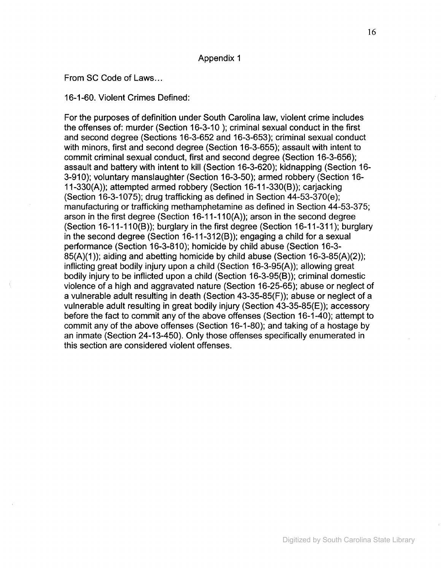#### Appendix 1

#### From SC Code of Laws...

16-1-60. Violent Crimes Defined:

For the purposes of definition under South Carolina law, violent crime includes the offenses of: murder (Section 16-3-10 ); criminal sexual conduct in the first and second degree (Sections 16-3-652 and 16-3-653); criminal sexual conduct with minors, first and second degree (Section 16-3-655); assault with intent to commit criminal sexual conduct, first and second degree (Section 16-3-656); assault and battery with intent to kill (Section 16-3-620); kidnapping (Section 16- 3-910); voluntary manslaughter (Section 16-3-50); armed robbery (Section 16- 11-330(A)); attempted armed robbery (Section 16-11-330(8)); carjacking (Section 16-3-1075); drug trafficking as defined in Section 44-53-370(e); manufacturing or trafficking methamphetamine as defined in Section 44-53-375; arson in the first degree (Section 16-11-11O(A)); arson in the second degree (Section 16-11-110(8)); burglary in the first degree (Section 16-11-311); burglary in the second degree (Section 16-11-312(8)); engaging a child for a sexual performance (Section 16-3-810); homicide by child abuse (Section 16-3- 85(A)(1)); aiding and abetting homicide by child abuse (Section 16-3-85(A)(2)); inflicting great bodily injury upon a child (Section 16-3-95(A)); allowing great bodily injury to be inflicted upon a child (Section 16-3-95(8)); criminal domestic violence of a high and aggravated nature (Section 16-25-65); abuse or neglect of a vulnerable adult resulting in death (Section 43-35-85(F)); abuse or neglect of a vulnerable adult resulting in great bodily injury (Section 43-35-85(E)); accessory before the fact to commit any of the above offenses (Section 16-1-40); attempt to commit any of the above offenses (Section 16-1-80); and taking of a hostage by an inmate (Section 24-13-450). Only those offenses specifically enumerated in this section are considered violent offenses.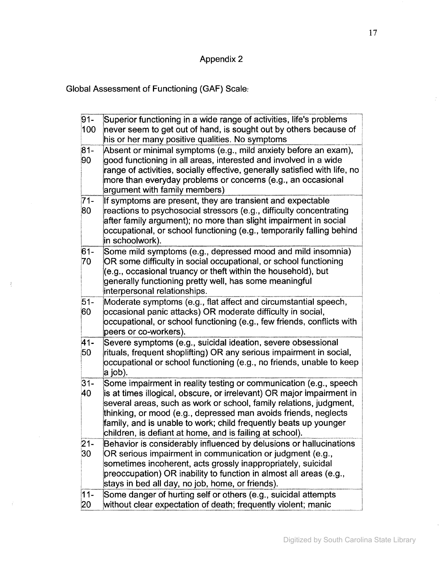## Appendix 2

Global Assessment of Functioning (GAF) Scale:

 $\frac{1}{4}$ 

√j.

| $91 -$<br>100 | Superior functioning in a wide range of activities, life's problems<br>never seem to get out of hand, is sought out by others because of                                                                                                                                                                                                                                                                            |
|---------------|---------------------------------------------------------------------------------------------------------------------------------------------------------------------------------------------------------------------------------------------------------------------------------------------------------------------------------------------------------------------------------------------------------------------|
| $81 -$<br>90  | his or her many positive qualities. No symptoms<br>Absent or minimal symptoms (e.g., mild anxiety before an exam),<br>good functioning in all areas, interested and involved in a wide<br>range of activities, socially effective, generally satisfied with life, no<br>more than everyday problems or concerns (e.g., an occasional<br>argument with family members)                                               |
| $71-$<br>80   | If symptoms are present, they are transient and expectable<br>reactions to psychosocial stressors (e.g., difficulty concentrating<br>after family argument); no more than slight impairment in social<br>occupational, or school functioning (e.g., temporarily falling behind<br>in schoolwork).                                                                                                                   |
| $61 -$<br>70  | Some mild symptoms (e.g., depressed mood and mild insomnia)<br>OR some difficulty in social occupational, or school functioning<br>(e.g., occasional truancy or theft within the household), but<br>generally functioning pretty well, has some meaningful<br>interpersonal relationships.                                                                                                                          |
| $51 -$<br>60  | Moderate symptoms (e.g., flat affect and circumstantial speech,<br>occasional panic attacks) OR moderate difficulty in social,<br>occupational, or school functioning (e.g., few friends, conflicts with<br>peers or co-workers).                                                                                                                                                                                   |
| 41-<br>50     | Severe symptoms (e.g., suicidal ideation, severe obsessional<br>rituals, frequent shoplifting) OR any serious impairment in social,<br>occupational or school functioning (e.g., no friends, unable to keep<br>a job).                                                                                                                                                                                              |
| $31 -$<br>40  | Some impairment in reality testing or communication (e.g., speech<br>is at times illogical, obscure, or irrelevant) OR major impairment in<br>several areas, such as work or school, family relations, judgment,<br>thinking, or mood (e.g., depressed man avoids friends, neglects<br>family, and is unable to work; child frequently beats up younger<br>children, is defiant at home, and is failing at school). |
| $21 -$<br>30  | Behavior is considerably influenced by delusions or hallucinations<br>OR serious impairment in communication or judgment (e.g.,<br>sometimes incoherent, acts grossly inappropriately, suicidal<br>preoccupation) OR inability to function in almost all areas (e.g.,<br>stays in bed all day, no job, home, or friends).                                                                                           |
| $11 -$<br>20  | Some danger of hurting self or others (e.g., suicidal attempts<br>without clear expectation of death; frequently violent; manic                                                                                                                                                                                                                                                                                     |

 $\mathbb{R}^2$ 

 $\bar{z}$